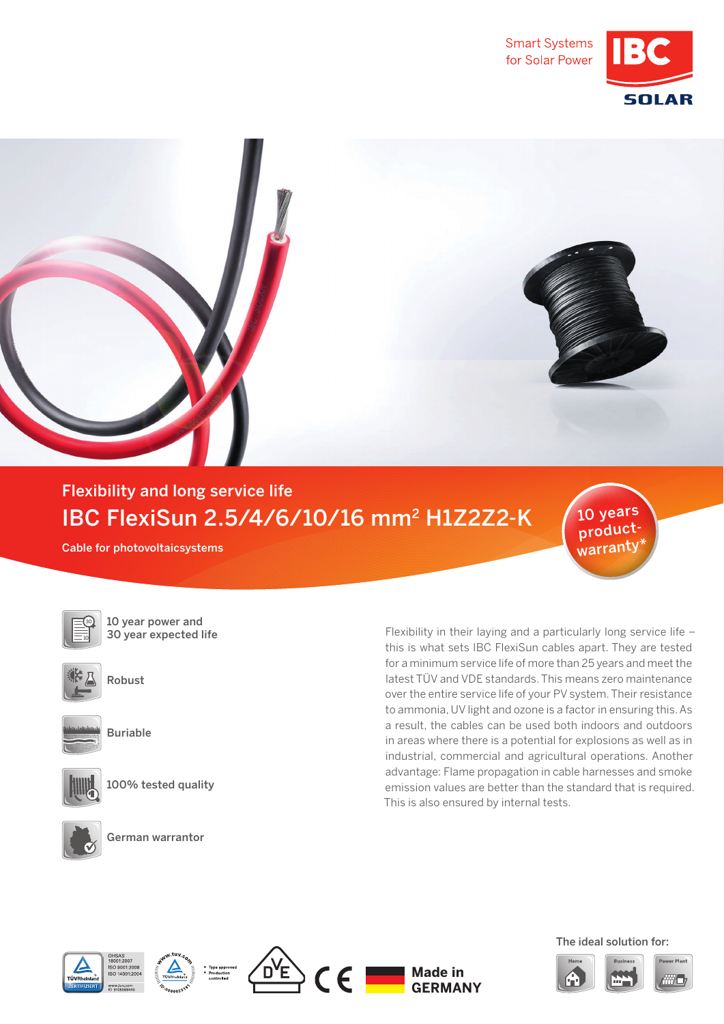



## Flexibility and long service life IBC FlexiSun 2.5/4/6/10/16 mm2 H1Z2Z2-K

Cable for photovoltaicsystems



10 year power and 30 year expected life



Robust



Buriable



100% tested quality

German warrantor

Flexibility in their laying and a particularly long service life – this is what sets IBC FlexiSun cables apart. They are tested for a minimum service life of more than 25 years and meet the latest TÜV and VDE standards. This means zero maintenance over the entire service life of your PV system. Their resistance to ammonia, UV light and ozone is a factor in ensuring this. As a result, the cables can be used both indoors and outdoors in areas where there is a potential for explosions as well as in industrial, commercial and agricultural operations. Another advantage: Flame propagation in cable harnesses and smoke emission values are better than the standard that is required. This is also ensured by internal tests.









The ideal solution for:

10 years productwarranty